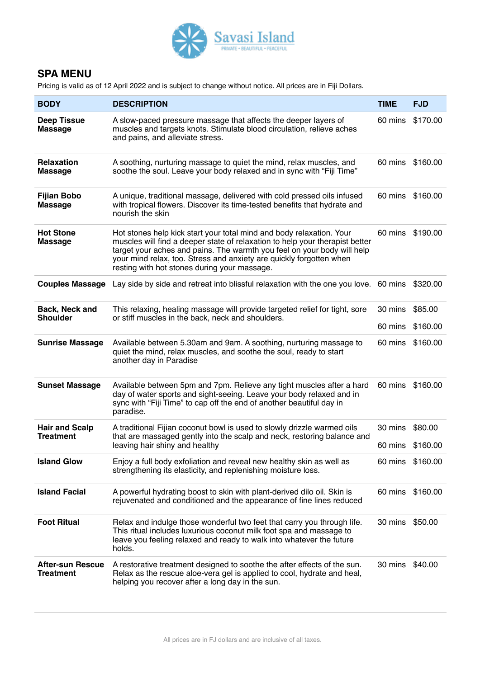

## **SPA MENU**

Pricing is valid as of 12 April 2022 and is subject to change without notice. All prices are in Fiji Dollars.

| <b>BODY</b>                                 | <b>DESCRIPTION</b>                                                                                                                                                                                                                                                                                                                                     | <b>TIME</b>      | <b>FJD</b> |
|---------------------------------------------|--------------------------------------------------------------------------------------------------------------------------------------------------------------------------------------------------------------------------------------------------------------------------------------------------------------------------------------------------------|------------------|------------|
| <b>Deep Tissue</b><br><b>Massage</b>        | A slow-paced pressure massage that affects the deeper layers of<br>muscles and targets knots. Stimulate blood circulation, relieve aches<br>and pains, and alleviate stress.                                                                                                                                                                           | 60 mins \$170.00 |            |
| <b>Relaxation</b><br><b>Massage</b>         | A soothing, nurturing massage to quiet the mind, relax muscles, and<br>soothe the soul. Leave your body relaxed and in sync with "Fiji Time"                                                                                                                                                                                                           | 60 mins          | \$160.00   |
| <b>Fijian Bobo</b><br><b>Massage</b>        | A unique, traditional massage, delivered with cold pressed oils infused<br>with tropical flowers. Discover its time-tested benefits that hydrate and<br>nourish the skin                                                                                                                                                                               | 60 mins \$160.00 |            |
| <b>Hot Stone</b><br><b>Massage</b>          | Hot stones help kick start your total mind and body relaxation. Your<br>muscles will find a deeper state of relaxation to help your therapist better<br>target your aches and pains. The warmth you feel on your body will help<br>your mind relax, too. Stress and anxiety are quickly forgotten when<br>resting with hot stones during your massage. | 60 mins \$190.00 |            |
|                                             | <b>Couples Massage</b> Lay side by side and retreat into blissful relaxation with the one you love. 60 mins \$320.00                                                                                                                                                                                                                                   |                  |            |
| Back, Neck and<br><b>Shoulder</b>           | This relaxing, healing massage will provide targeted relief for tight, sore<br>or stiff muscles in the back, neck and shoulders.                                                                                                                                                                                                                       | 30 mins          | \$85.00    |
|                                             |                                                                                                                                                                                                                                                                                                                                                        | 60 mins          | \$160.00   |
| <b>Sunrise Massage</b>                      | Available between 5.30am and 9am. A soothing, nurturing massage to<br>quiet the mind, relax muscles, and soothe the soul, ready to start<br>another day in Paradise                                                                                                                                                                                    | 60 mins          | \$160.00   |
| <b>Sunset Massage</b>                       | Available between 5pm and 7pm. Relieve any tight muscles after a hard<br>day of water sports and sight-seeing. Leave your body relaxed and in<br>sync with "Fiji Time" to cap off the end of another beautiful day in<br>paradise.                                                                                                                     | 60 mins \$160.00 |            |
| <b>Hair and Scalp</b>                       | A traditional Fijian coconut bowl is used to slowly drizzle warmed oils<br>that are massaged gently into the scalp and neck, restoring balance and<br>leaving hair shiny and healthy                                                                                                                                                                   | 30 mins          | \$80.00    |
| <b>Treatment</b>                            |                                                                                                                                                                                                                                                                                                                                                        | 60 mins \$160.00 |            |
| <b>Island Glow</b>                          | Enjoy a full body exfoliation and reveal new healthy skin as well as<br>strengthening its elasticity, and replenishing moisture loss.                                                                                                                                                                                                                  | 60 mins \$160.00 |            |
| <b>Island Facial</b>                        | A powerful hydrating boost to skin with plant-derived dilo oil. Skin is<br>rejuvenated and conditioned and the appearance of fine lines reduced                                                                                                                                                                                                        | 60 mins \$160.00 |            |
| <b>Foot Ritual</b>                          | Relax and indulge those wonderful two feet that carry you through life.<br>This ritual includes luxurious coconut milk foot spa and massage to<br>leave you feeling relaxed and ready to walk into whatever the future<br>holds.                                                                                                                       | 30 mins          | \$50.00    |
| <b>After-sun Rescue</b><br><b>Treatment</b> | A restorative treatment designed to soothe the after effects of the sun.<br>Relax as the rescue aloe-vera gel is applied to cool, hydrate and heal,<br>helping you recover after a long day in the sun.                                                                                                                                                | 30 mins          | \$40.00    |